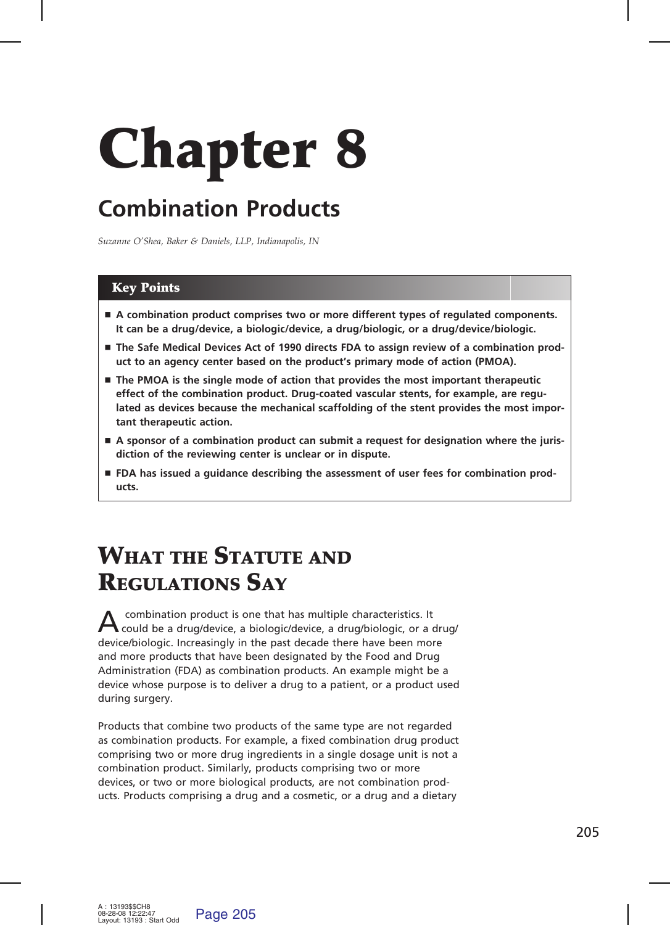# **Chapter 8**

# **Combination Products**

*Suzanne O'Shea, Baker & Daniels, LLP, Indianapolis, IN*

#### **Key Points**

- A combination product comprises two or more different types of regulated components. **It can be a drug/device, a biologic/device, a drug/biologic, or a drug/device/biologic.**
- The Safe Medical Devices Act of 1990 directs FDA to assign review of a combination prod**uct to an agency center based on the product's primary mode of action (PMOA).**
- **The PMOA is the single mode of action that provides the most important therapeutic effect of the combination product. Drug-coated vascular stents, for example, are regulated as devices because the mechanical scaffolding of the stent provides the most important therapeutic action.**
- A sponsor of a combination product can submit a request for designation where the juris**diction of the reviewing center is unclear or in dispute.**
- FDA has issued a guidance describing the assessment of user fees for combination prod**ucts.**

## **WHAT THE STATUTE AND REGULATIONS SAY**

A combination product is one that has multiple characteristics. It<br>
could be a drug/device, a biologic/device, a drug/biologic, or a drug/ device/biologic. Increasingly in the past decade there have been more and more products that have been designated by the Food and Drug Administration (FDA) as combination products. An example might be a device whose purpose is to deliver a drug to a patient, or a product used during surgery.

Products that combine two products of the same type are not regarded as combination products. For example, a fixed combination drug product comprising two or more drug ingredients in a single dosage unit is not a combination product. Similarly, products comprising two or more devices, or two or more biological products, are not combination products. Products comprising a drug and a cosmetic, or a drug and a dietary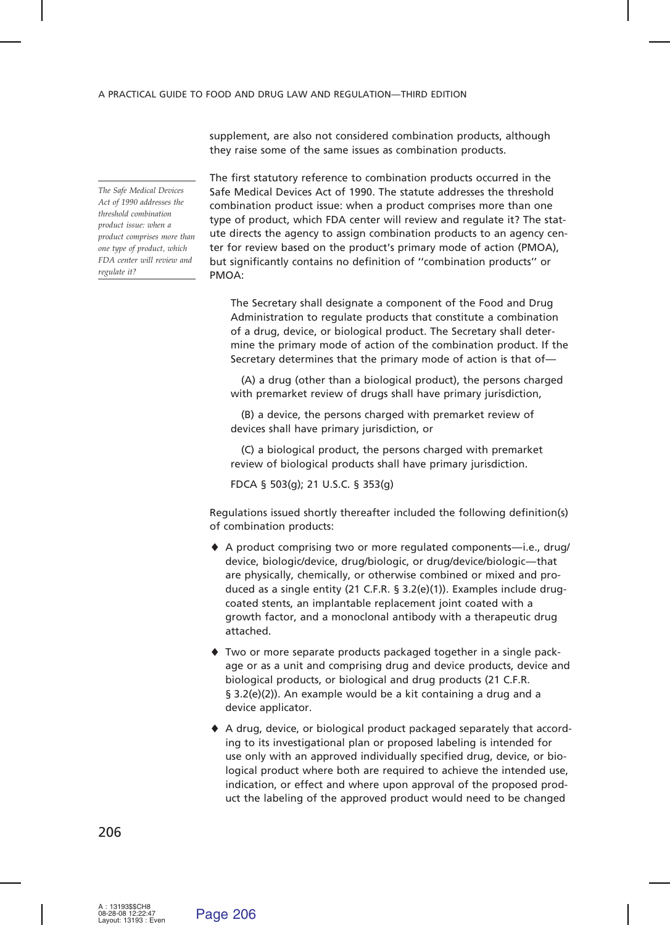*The Safe Medical Devices Act of 1990 addresses the threshold combination product issue: when a product comprises more than one type of product, which FDA center will review and regulate it?*

supplement, are also not considered combination products, although they raise some of the same issues as combination products.

The first statutory reference to combination products occurred in the Safe Medical Devices Act of 1990. The statute addresses the threshold combination product issue: when a product comprises more than one type of product, which FDA center will review and regulate it? The statute directs the agency to assign combination products to an agency center for review based on the product's primary mode of action (PMOA), but significantly contains no definition of ''combination products'' or PMOA:

The Secretary shall designate a component of the Food and Drug Administration to regulate products that constitute a combination of a drug, device, or biological product. The Secretary shall determine the primary mode of action of the combination product. If the Secretary determines that the primary mode of action is that of—

(A) a drug (other than a biological product), the persons charged with premarket review of drugs shall have primary jurisdiction,

(B) a device, the persons charged with premarket review of devices shall have primary jurisdiction, or

(C) a biological product, the persons charged with premarket review of biological products shall have primary jurisdiction.

FDCA § 503(g); 21 U.S.C. § 353(g)

Regulations issued shortly thereafter included the following definition(s) of combination products:

- A product comprising two or more regulated components—i.e., drug/ device, biologic/device, drug/biologic, or drug/device/biologic—that are physically, chemically, or otherwise combined or mixed and produced as a single entity (21 C.F.R. § 3.2(e)(1)). Examples include drugcoated stents, an implantable replacement joint coated with a growth factor, and a monoclonal antibody with a therapeutic drug attached.
- Two or more separate products packaged together in a single package or as a unit and comprising drug and device products, device and biological products, or biological and drug products (21 C.F.R. § 3.2(e)(2)). An example would be a kit containing a drug and a device applicator.
- A drug, device, or biological product packaged separately that according to its investigational plan or proposed labeling is intended for use only with an approved individually specified drug, device, or biological product where both are required to achieve the intended use, indication, or effect and where upon approval of the proposed product the labeling of the approved product would need to be changed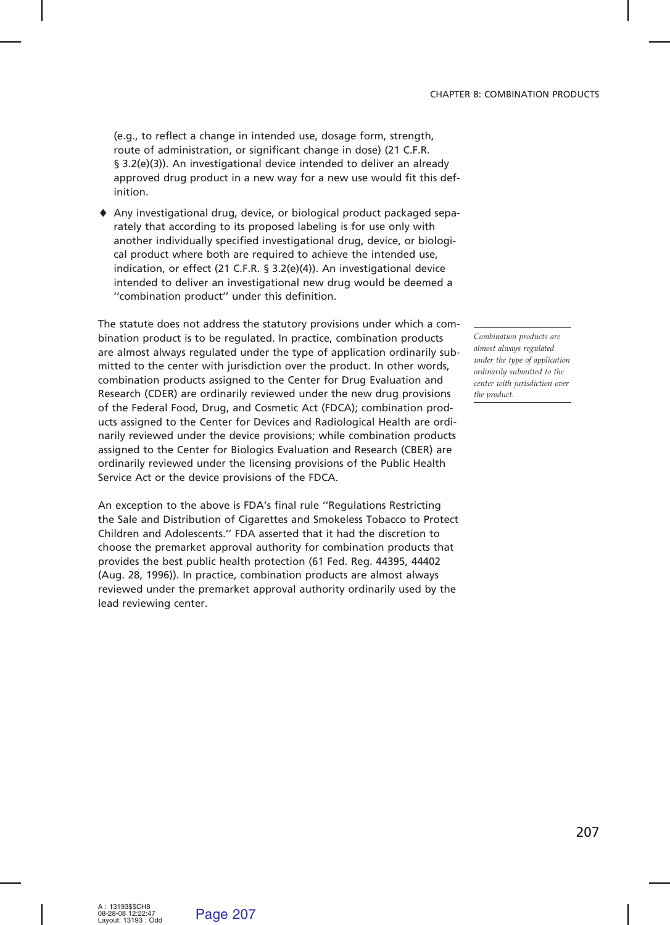(e.g., to reflect a change in intended use, dosage form, strength, route of administration, or significant change in dose) (21 C.F.R. § 3.2(e)(3)). An investigational device intended to deliver an already approved drug product in a new way for a new use would fit this definition.

 Any investigational drug, device, or biological product packaged separately that according to its proposed labeling is for use only with another individually specified investigational drug, device, or biological product where both are required to achieve the intended use, indication, or effect (21 C.F.R. § 3.2(e)(4)). An investigational device intended to deliver an investigational new drug would be deemed a ''combination product'' under this definition.

The statute does not address the statutory provisions under which a combination product is to be regulated. In practice, combination products are almost always regulated under the type of application ordinarily submitted to the center with jurisdiction over the product. In other words, combination products assigned to the Center for Drug Evaluation and Research (CDER) are ordinarily reviewed under the new drug provisions of the Federal Food, Drug, and Cosmetic Act (FDCA); combination products assigned to the Center for Devices and Radiological Health are ordinarily reviewed under the device provisions; while combination products assigned to the Center for Biologics Evaluation and Research (CBER) are ordinarily reviewed under the licensing provisions of the Public Health Service Act or the device provisions of the FDCA.

An exception to the above is FDA's final rule ''Regulations Restricting the Sale and Distribution of Cigarettes and Smokeless Tobacco to Protect Children and Adolescents.'' FDA asserted that it had the discretion to choose the premarket approval authority for combination products that provides the best public health protection (61 Fed. Reg. 44395, 44402 (Aug. 28, 1996)). In practice, combination products are almost always reviewed under the premarket approval authority ordinarily used by the lead reviewing center.

*Combination products are almost always regulated under the type of application ordinarily submitted to the center with jurisdiction over the product.*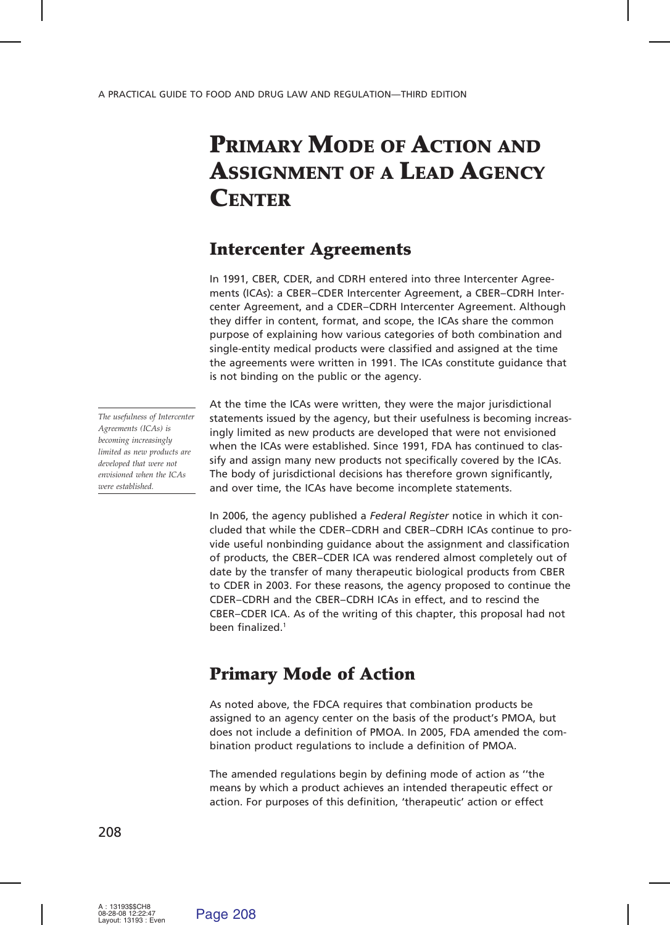## **PRIMARY MODE OF ACTION AND ASSIGNMENT OF A LEAD AGENCY CENTER**

#### **Intercenter Agreements**

In 1991, CBER, CDER, and CDRH entered into three Intercenter Agreements (ICAs): a CBER–CDER Intercenter Agreement, a CBER–CDRH Intercenter Agreement, and a CDER–CDRH Intercenter Agreement. Although they differ in content, format, and scope, the ICAs share the common purpose of explaining how various categories of both combination and single-entity medical products were classified and assigned at the time the agreements were written in 1991. The ICAs constitute guidance that is not binding on the public or the agency.

*The usefulness of Intercenter Agreements (ICAs) is becoming increasingly limited as new products are developed that were not envisioned when the ICAs were established.*

At the time the ICAs were written, they were the major jurisdictional statements issued by the agency, but their usefulness is becoming increasingly limited as new products are developed that were not envisioned when the ICAs were established. Since 1991, FDA has continued to classify and assign many new products not specifically covered by the ICAs. The body of jurisdictional decisions has therefore grown significantly, and over time, the ICAs have become incomplete statements.

In 2006, the agency published a *Federal Register* notice in which it concluded that while the CDER–CDRH and CBER–CDRH ICAs continue to provide useful nonbinding guidance about the assignment and classification of products, the CBER–CDER ICA was rendered almost completely out of date by the transfer of many therapeutic biological products from CBER to CDER in 2003. For these reasons, the agency proposed to continue the CDER–CDRH and the CBER–CDRH ICAs in effect, and to rescind the CBER–CDER ICA. As of the writing of this chapter, this proposal had not been finalized.<sup>1</sup>

### **Primary Mode of Action**

As noted above, the FDCA requires that combination products be assigned to an agency center on the basis of the product's PMOA, but does not include a definition of PMOA. In 2005, FDA amended the combination product regulations to include a definition of PMOA.

The amended regulations begin by defining mode of action as ''the means by which a product achieves an intended therapeutic effect or action. For purposes of this definition, 'therapeutic' action or effect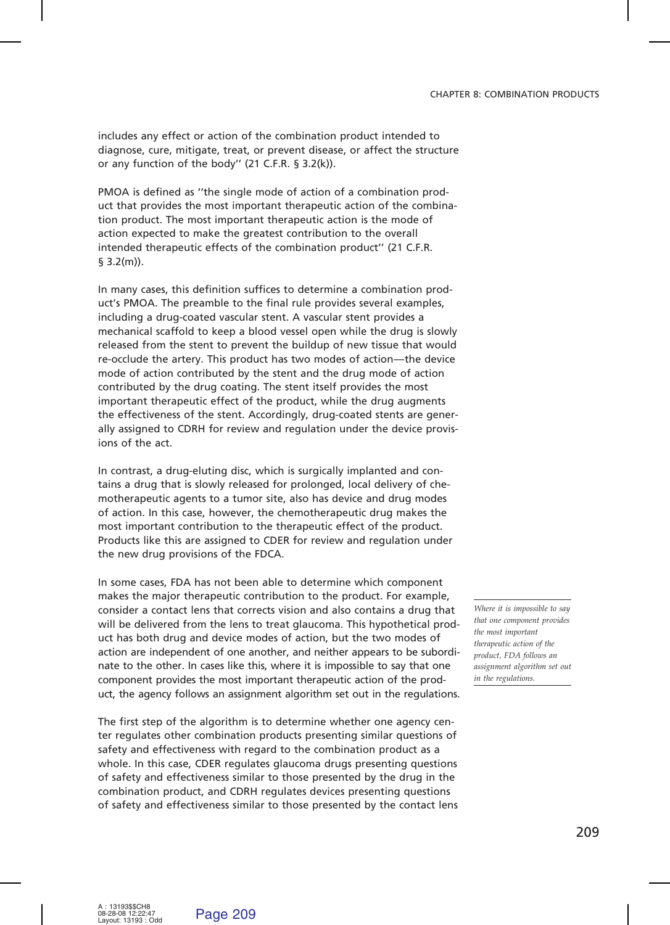includes any effect or action of the combination product intended to diagnose, cure, mitigate, treat, or prevent disease, or affect the structure or any function of the body'' (21 C.F.R. § 3.2(k)).

PMOA is defined as ''the single mode of action of a combination product that provides the most important therapeutic action of the combination product. The most important therapeutic action is the mode of action expected to make the greatest contribution to the overall intended therapeutic effects of the combination product'' (21 C.F.R.  $$3.2(m)$ ).

In many cases, this definition suffices to determine a combination product's PMOA. The preamble to the final rule provides several examples, including a drug-coated vascular stent. A vascular stent provides a mechanical scaffold to keep a blood vessel open while the drug is slowly released from the stent to prevent the buildup of new tissue that would re-occlude the artery. This product has two modes of action—the device mode of action contributed by the stent and the drug mode of action contributed by the drug coating. The stent itself provides the most important therapeutic effect of the product, while the drug augments the effectiveness of the stent. Accordingly, drug-coated stents are generally assigned to CDRH for review and regulation under the device provisions of the act.

In contrast, a drug-eluting disc, which is surgically implanted and contains a drug that is slowly released for prolonged, local delivery of chemotherapeutic agents to a tumor site, also has device and drug modes of action. In this case, however, the chemotherapeutic drug makes the most important contribution to the therapeutic effect of the product. Products like this are assigned to CDER for review and regulation under the new drug provisions of the FDCA.

In some cases, FDA has not been able to determine which component makes the major therapeutic contribution to the product. For example, consider a contact lens that corrects vision and also contains a drug that will be delivered from the lens to treat glaucoma. This hypothetical product has both drug and device modes of action, but the two modes of action are independent of one another, and neither appears to be subordinate to the other. In cases like this, where it is impossible to say that one component provides the most important therapeutic action of the product, the agency follows an assignment algorithm set out in the regulations.

The first step of the algorithm is to determine whether one agency center regulates other combination products presenting similar questions of safety and effectiveness with regard to the combination product as a whole. In this case, CDER regulates glaucoma drugs presenting questions of safety and effectiveness similar to those presented by the drug in the combination product, and CDRH regulates devices presenting questions of safety and effectiveness similar to those presented by the contact lens

*Where it is impossible to say that one component provides the most important therapeutic action of the product, FDA follows an assignment algorithm set out in the regulations.*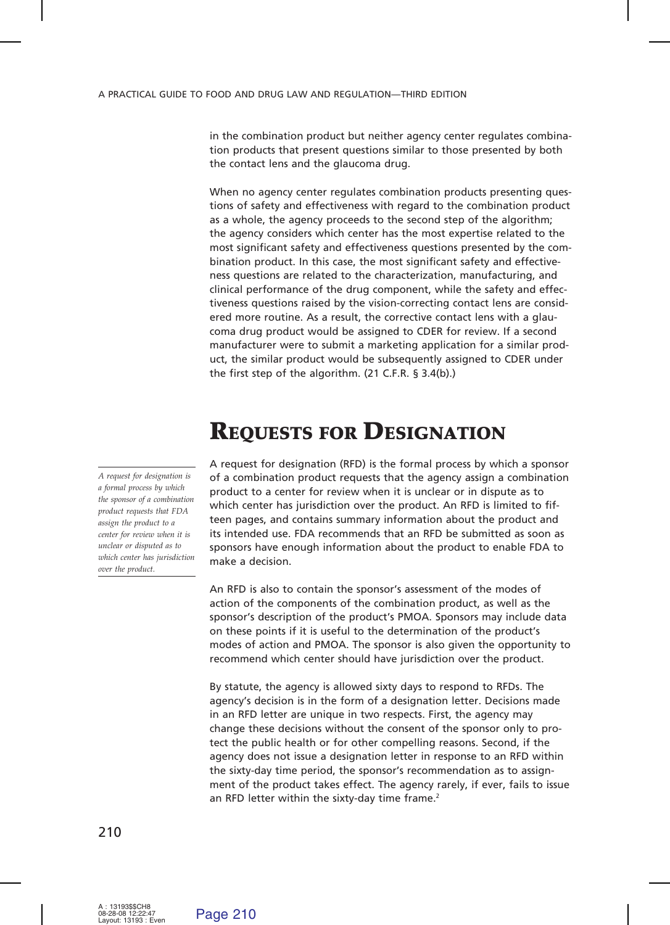in the combination product but neither agency center regulates combination products that present questions similar to those presented by both the contact lens and the glaucoma drug.

When no agency center regulates combination products presenting questions of safety and effectiveness with regard to the combination product as a whole, the agency proceeds to the second step of the algorithm; the agency considers which center has the most expertise related to the most significant safety and effectiveness questions presented by the combination product. In this case, the most significant safety and effectiveness questions are related to the characterization, manufacturing, and clinical performance of the drug component, while the safety and effectiveness questions raised by the vision-correcting contact lens are considered more routine. As a result, the corrective contact lens with a glaucoma drug product would be assigned to CDER for review. If a second manufacturer were to submit a marketing application for a similar product, the similar product would be subsequently assigned to CDER under the first step of the algorithm. (21 C.F.R. § 3.4(b).)

## **REQUESTS FOR DESIGNATION**

A request for designation (RFD) is the formal process by which a sponsor of a combination product requests that the agency assign a combination product to a center for review when it is unclear or in dispute as to which center has jurisdiction over the product. An RFD is limited to fifteen pages, and contains summary information about the product and its intended use. FDA recommends that an RFD be submitted as soon as sponsors have enough information about the product to enable FDA to make a decision.

An RFD is also to contain the sponsor's assessment of the modes of action of the components of the combination product, as well as the sponsor's description of the product's PMOA. Sponsors may include data on these points if it is useful to the determination of the product's modes of action and PMOA. The sponsor is also given the opportunity to recommend which center should have jurisdiction over the product.

By statute, the agency is allowed sixty days to respond to RFDs. The agency's decision is in the form of a designation letter. Decisions made in an RFD letter are unique in two respects. First, the agency may change these decisions without the consent of the sponsor only to protect the public health or for other compelling reasons. Second, if the agency does not issue a designation letter in response to an RFD within the sixty-day time period, the sponsor's recommendation as to assignment of the product takes effect. The agency rarely, if ever, fails to issue an RFD letter within the sixty-day time frame.<sup>2</sup>

*A request for designation is a formal process by which the sponsor of a combination product requests that FDA assign the product to a center for review when it is unclear or disputed as to which center has jurisdiction over the product.*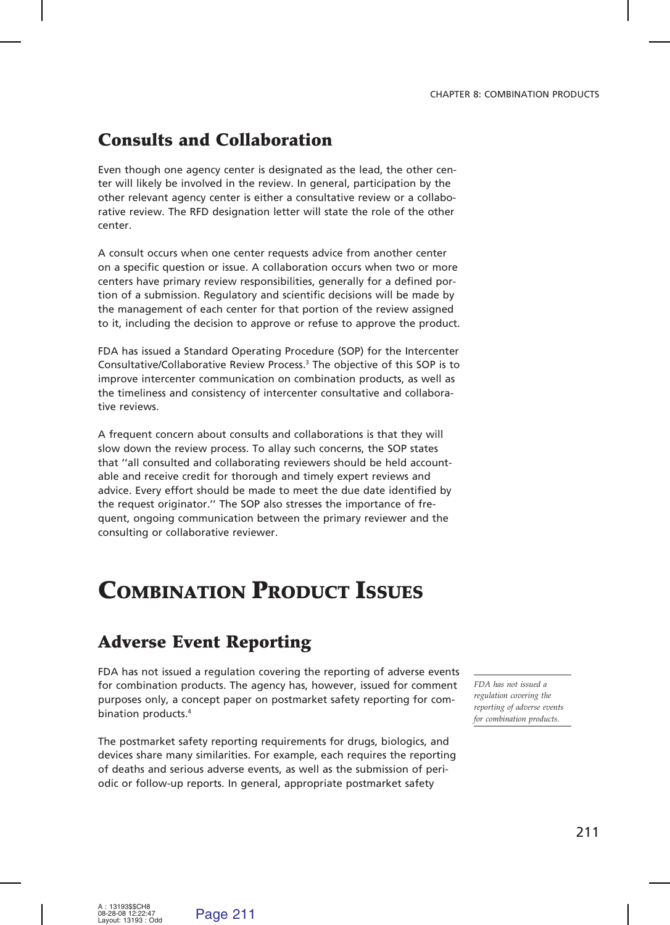#### **Consults and Collaboration**

Even though one agency center is designated as the lead, the other center will likely be involved in the review. In general, participation by the other relevant agency center is either a consultative review or a collaborative review. The RFD designation letter will state the role of the other center.

A consult occurs when one center requests advice from another center on a specific question or issue. A collaboration occurs when two or more centers have primary review responsibilities, generally for a defined portion of a submission. Regulatory and scientific decisions will be made by the management of each center for that portion of the review assigned to it, including the decision to approve or refuse to approve the product.

FDA has issued a Standard Operating Procedure (SOP) for the Intercenter Consultative/Collaborative Review Process.3 The objective of this SOP is to improve intercenter communication on combination products, as well as the timeliness and consistency of intercenter consultative and collaborative reviews.

A frequent concern about consults and collaborations is that they will slow down the review process. To allay such concerns, the SOP states that ''all consulted and collaborating reviewers should be held accountable and receive credit for thorough and timely expert reviews and advice. Every effort should be made to meet the due date identified by the request originator.'' The SOP also stresses the importance of frequent, ongoing communication between the primary reviewer and the consulting or collaborative reviewer.

## **COMBINATION PRODUCT ISSUES**

#### **Adverse Event Reporting**

FDA has not issued a regulation covering the reporting of adverse events for combination products. The agency has, however, issued for comment purposes only, a concept paper on postmarket safety reporting for combination products.4

The postmarket safety reporting requirements for drugs, biologics, and devices share many similarities. For example, each requires the reporting of deaths and serious adverse events, as well as the submission of periodic or follow-up reports. In general, appropriate postmarket safety

*FDA has not issued a regulation covering the reporting of adverse events for combination products.*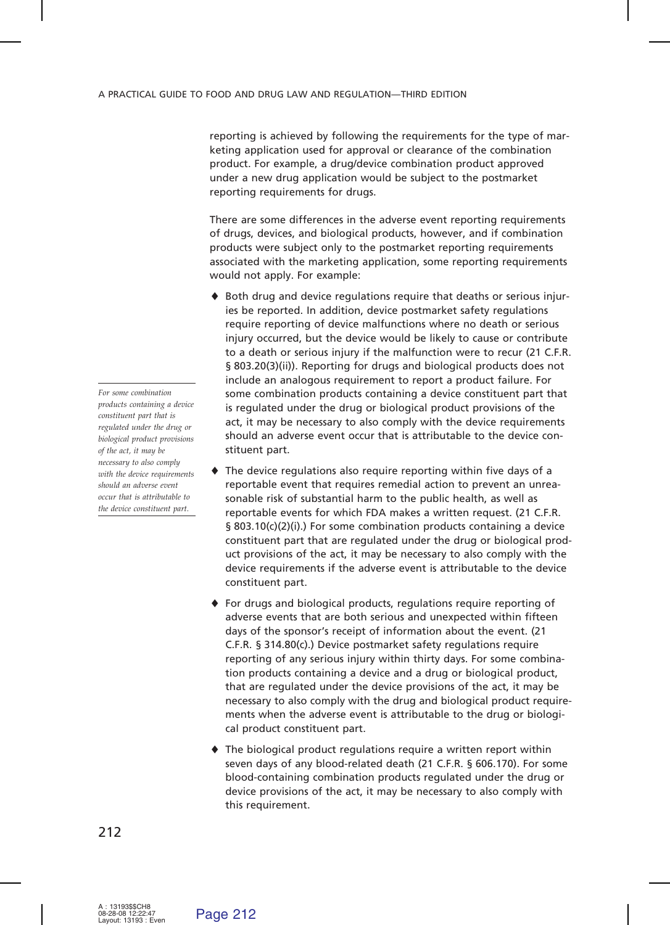reporting is achieved by following the requirements for the type of marketing application used for approval or clearance of the combination product. For example, a drug/device combination product approved under a new drug application would be subject to the postmarket reporting requirements for drugs.

There are some differences in the adverse event reporting requirements of drugs, devices, and biological products, however, and if combination products were subject only to the postmarket reporting requirements associated with the marketing application, some reporting requirements would not apply. For example:

- $\blacklozenge$  Both drug and device regulations reguire that deaths or serious injuries be reported. In addition, device postmarket safety regulations require reporting of device malfunctions where no death or serious injury occurred, but the device would be likely to cause or contribute to a death or serious injury if the malfunction were to recur (21 C.F.R. § 803.20(3)(ii)). Reporting for drugs and biological products does not include an analogous requirement to report a product failure. For some combination products containing a device constituent part that is regulated under the drug or biological product provisions of the act, it may be necessary to also comply with the device requirements should an adverse event occur that is attributable to the device constituent part.
- The device regulations also require reporting within five days of a reportable event that requires remedial action to prevent an unreasonable risk of substantial harm to the public health, as well as reportable events for which FDA makes a written request. (21 C.F.R. § 803.10(c)(2)(i).) For some combination products containing a device constituent part that are regulated under the drug or biological product provisions of the act, it may be necessary to also comply with the device requirements if the adverse event is attributable to the device constituent part.
- For drugs and biological products, regulations require reporting of adverse events that are both serious and unexpected within fifteen days of the sponsor's receipt of information about the event. (21 C.F.R. § 314.80(c).) Device postmarket safety regulations require reporting of any serious injury within thirty days. For some combination products containing a device and a drug or biological product, that are regulated under the device provisions of the act, it may be necessary to also comply with the drug and biological product requirements when the adverse event is attributable to the drug or biological product constituent part.
- The biological product regulations require a written report within seven days of any blood-related death (21 C.F.R. § 606.170). For some blood-containing combination products regulated under the drug or device provisions of the act, it may be necessary to also comply with this requirement.

*For some combination products containing a device constituent part that is regulated under the drug or biological product provisions of the act, it may be necessary to also comply with the device requirements should an adverse event occur that is attributable to the device constituent part.*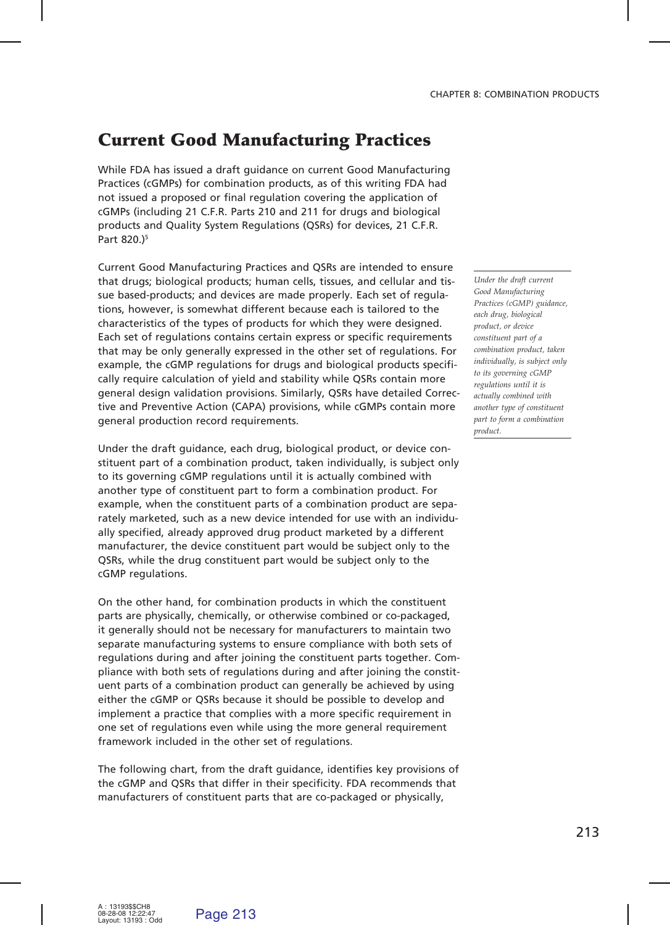## **Current Good Manufacturing Practices**

While FDA has issued a draft guidance on current Good Manufacturing Practices (cGMPs) for combination products, as of this writing FDA had not issued a proposed or final regulation covering the application of cGMPs (including 21 C.F.R. Parts 210 and 211 for drugs and biological products and Quality System Regulations (QSRs) for devices, 21 C.F.R. Part 820.)5

Current Good Manufacturing Practices and QSRs are intended to ensure that drugs; biological products; human cells, tissues, and cellular and tissue based-products; and devices are made properly. Each set of regulations, however, is somewhat different because each is tailored to the characteristics of the types of products for which they were designed. Each set of regulations contains certain express or specific requirements that may be only generally expressed in the other set of regulations. For example, the cGMP regulations for drugs and biological products specifically require calculation of yield and stability while QSRs contain more general design validation provisions. Similarly, QSRs have detailed Corrective and Preventive Action (CAPA) provisions, while cGMPs contain more general production record requirements.

Under the draft guidance, each drug, biological product, or device constituent part of a combination product, taken individually, is subject only to its governing cGMP regulations until it is actually combined with another type of constituent part to form a combination product. For example, when the constituent parts of a combination product are separately marketed, such as a new device intended for use with an individually specified, already approved drug product marketed by a different manufacturer, the device constituent part would be subject only to the QSRs, while the drug constituent part would be subject only to the cGMP regulations.

On the other hand, for combination products in which the constituent parts are physically, chemically, or otherwise combined or co-packaged, it generally should not be necessary for manufacturers to maintain two separate manufacturing systems to ensure compliance with both sets of regulations during and after joining the constituent parts together. Compliance with both sets of regulations during and after joining the constituent parts of a combination product can generally be achieved by using either the cGMP or QSRs because it should be possible to develop and implement a practice that complies with a more specific requirement in one set of regulations even while using the more general requirement framework included in the other set of regulations.

The following chart, from the draft guidance, identifies key provisions of the cGMP and QSRs that differ in their specificity. FDA recommends that manufacturers of constituent parts that are co-packaged or physically,

*Under the draft current Good Manufacturing Practices (cGMP) guidance, each drug, biological product, or device constituent part of a combination product, taken individually, is subject only to its governing cGMP regulations until it is actually combined with another type of constituent part to form a combination product.*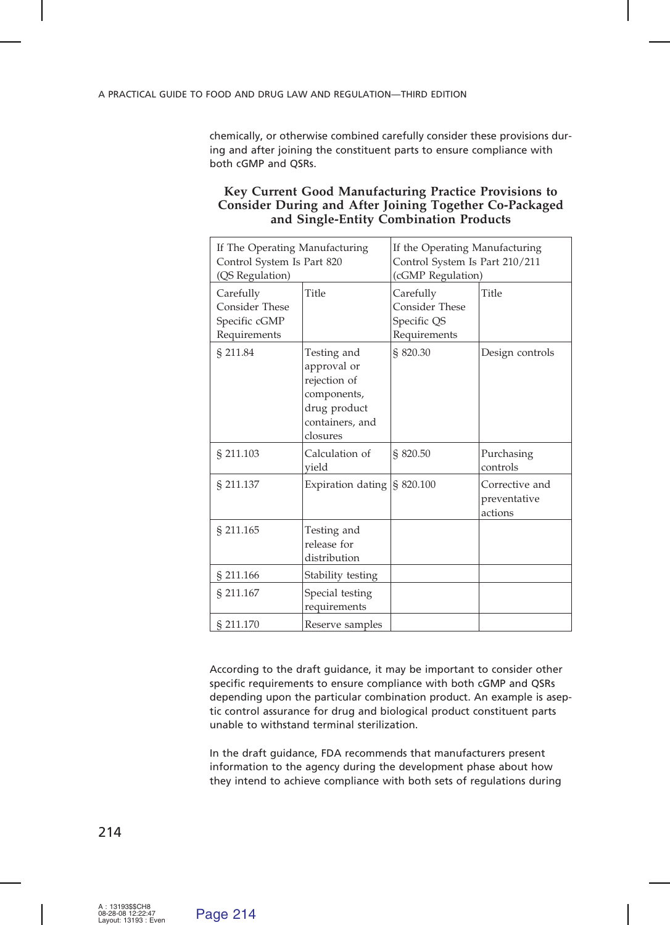chemically, or otherwise combined carefully consider these provisions during and after joining the constituent parts to ensure compliance with both cGMP and QSRs.

#### **Key Current Good Manufacturing Practice Provisions to Consider During and After Joining Together Co-Packaged and Single-Entity Combination Products**

| If The Operating Manufacturing<br>Control System Is Part 820<br>(QS Regulation) |                                                                                                          | If the Operating Manufacturing<br>Control System Is Part 210/211<br>(cGMP Regulation) |                                           |
|---------------------------------------------------------------------------------|----------------------------------------------------------------------------------------------------------|---------------------------------------------------------------------------------------|-------------------------------------------|
| Carefully<br><b>Consider These</b><br>Specific cGMP<br>Requirements             | Title                                                                                                    | Carefully<br><b>Consider These</b><br>Specific QS<br>Requirements                     | <b>Title</b>                              |
| § 211.84                                                                        | Testing and<br>approval or<br>rejection of<br>components,<br>drug product<br>containers, and<br>closures | § 820.30                                                                              | Design controls                           |
| § 211.103                                                                       | Calculation of<br>vield                                                                                  | § 820.50                                                                              | Purchasing<br>controls                    |
| § 211.137                                                                       | Expiration dating § 820.100                                                                              |                                                                                       | Corrective and<br>preventative<br>actions |
| § 211.165                                                                       | Testing and<br>release for<br>distribution                                                               |                                                                                       |                                           |
| § 211.166                                                                       | Stability testing                                                                                        |                                                                                       |                                           |
| § 211.167                                                                       | Special testing<br>requirements                                                                          |                                                                                       |                                           |
| § 211.170                                                                       | Reserve samples                                                                                          |                                                                                       |                                           |

According to the draft guidance, it may be important to consider other specific requirements to ensure compliance with both cGMP and QSRs depending upon the particular combination product. An example is aseptic control assurance for drug and biological product constituent parts unable to withstand terminal sterilization.

In the draft guidance, FDA recommends that manufacturers present information to the agency during the development phase about how they intend to achieve compliance with both sets of regulations during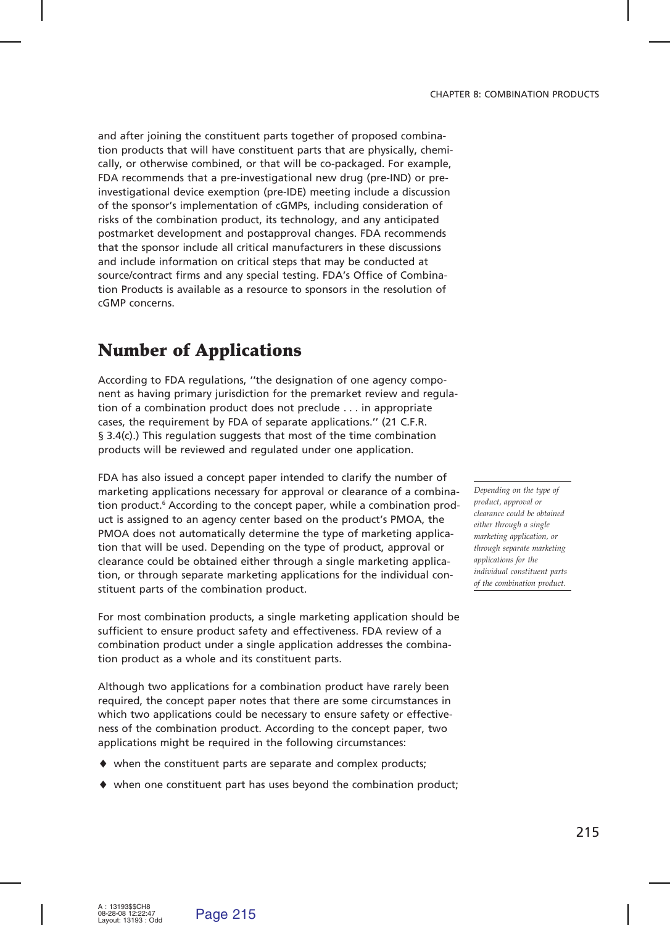and after joining the constituent parts together of proposed combination products that will have constituent parts that are physically, chemically, or otherwise combined, or that will be co-packaged. For example, FDA recommends that a pre-investigational new drug (pre-IND) or preinvestigational device exemption (pre-IDE) meeting include a discussion of the sponsor's implementation of cGMPs, including consideration of risks of the combination product, its technology, and any anticipated postmarket development and postapproval changes. FDA recommends that the sponsor include all critical manufacturers in these discussions and include information on critical steps that may be conducted at source/contract firms and any special testing. FDA's Office of Combination Products is available as a resource to sponsors in the resolution of cGMP concerns.

### **Number of Applications**

According to FDA regulations, ''the designation of one agency component as having primary jurisdiction for the premarket review and regulation of a combination product does not preclude . . . in appropriate cases, the requirement by FDA of separate applications.'' (21 C.F.R. § 3.4(c).) This regulation suggests that most of the time combination products will be reviewed and regulated under one application.

FDA has also issued a concept paper intended to clarify the number of marketing applications necessary for approval or clearance of a combination product.<sup>6</sup> According to the concept paper, while a combination product is assigned to an agency center based on the product's PMOA, the PMOA does not automatically determine the type of marketing application that will be used. Depending on the type of product, approval or clearance could be obtained either through a single marketing application, or through separate marketing applications for the individual constituent parts of the combination product.

For most combination products, a single marketing application should be sufficient to ensure product safety and effectiveness. FDA review of a combination product under a single application addresses the combination product as a whole and its constituent parts.

Although two applications for a combination product have rarely been required, the concept paper notes that there are some circumstances in which two applications could be necessary to ensure safety or effectiveness of the combination product. According to the concept paper, two applications might be required in the following circumstances:

- when the constituent parts are separate and complex products;
- when one constituent part has uses beyond the combination product;

*Depending on the type of product, approval or clearance could be obtained either through a single marketing application, or through separate marketing applications for the individual constituent parts of the combination product.*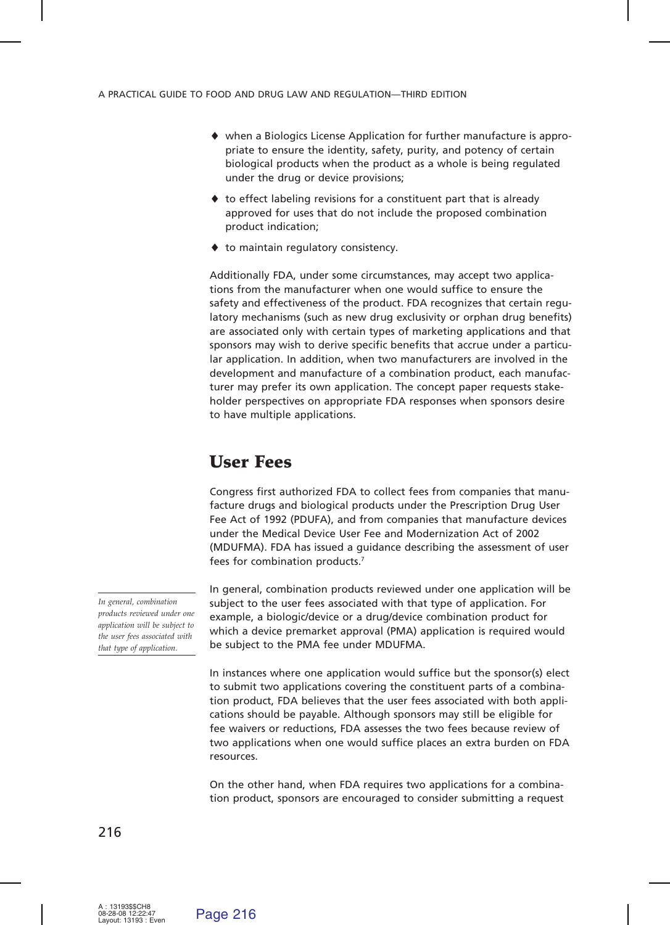- when a Biologics License Application for further manufacture is appropriate to ensure the identity, safety, purity, and potency of certain biological products when the product as a whole is being regulated under the drug or device provisions;
- $\bullet$  to effect labeling revisions for a constituent part that is already approved for uses that do not include the proposed combination product indication;
- $\blacklozenge$  to maintain regulatory consistency.

Additionally FDA, under some circumstances, may accept two applications from the manufacturer when one would suffice to ensure the safety and effectiveness of the product. FDA recognizes that certain regulatory mechanisms (such as new drug exclusivity or orphan drug benefits) are associated only with certain types of marketing applications and that sponsors may wish to derive specific benefits that accrue under a particular application. In addition, when two manufacturers are involved in the development and manufacture of a combination product, each manufacturer may prefer its own application. The concept paper requests stakeholder perspectives on appropriate FDA responses when sponsors desire to have multiple applications.

#### **User Fees**

Congress first authorized FDA to collect fees from companies that manufacture drugs and biological products under the Prescription Drug User Fee Act of 1992 (PDUFA), and from companies that manufacture devices under the Medical Device User Fee and Modernization Act of 2002 (MDUFMA). FDA has issued a guidance describing the assessment of user fees for combination products.<sup>7</sup>

In general, combination products reviewed under one application will be subject to the user fees associated with that type of application. For example, a biologic/device or a drug/device combination product for which a device premarket approval (PMA) application is required would be subject to the PMA fee under MDUFMA.

In instances where one application would suffice but the sponsor(s) elect to submit two applications covering the constituent parts of a combination product, FDA believes that the user fees associated with both applications should be payable. Although sponsors may still be eligible for fee waivers or reductions, FDA assesses the two fees because review of two applications when one would suffice places an extra burden on FDA resources.

On the other hand, when FDA requires two applications for a combination product, sponsors are encouraged to consider submitting a request

*In general, combination products reviewed under one application will be subject to the user fees associated with that type of application.*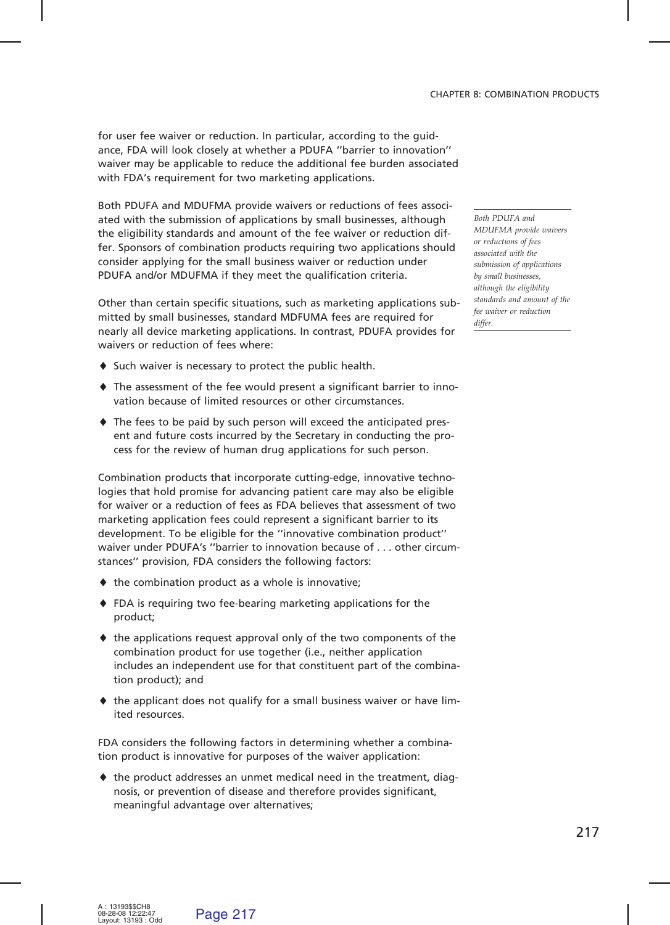for user fee waiver or reduction. In particular, according to the guidance, FDA will look closely at whether a PDUFA ''barrier to innovation'' waiver may be applicable to reduce the additional fee burden associated with FDA's requirement for two marketing applications.

Both PDUFA and MDUFMA provide waivers or reductions of fees associated with the submission of applications by small businesses, although the eligibility standards and amount of the fee waiver or reduction differ. Sponsors of combination products requiring two applications should consider applying for the small business waiver or reduction under PDUFA and/or MDUFMA if they meet the qualification criteria.

Other than certain specific situations, such as marketing applications submitted by small businesses, standard MDFUMA fees are required for nearly all device marketing applications. In contrast, PDUFA provides for waivers or reduction of fees where:

- $\blacklozenge$  Such waiver is necessary to protect the public health.
- The assessment of the fee would present a significant barrier to innovation because of limited resources or other circumstances.
- The fees to be paid by such person will exceed the anticipated present and future costs incurred by the Secretary in conducting the process for the review of human drug applications for such person.

Combination products that incorporate cutting-edge, innovative technologies that hold promise for advancing patient care may also be eligible for waiver or a reduction of fees as FDA believes that assessment of two marketing application fees could represent a significant barrier to its development. To be eligible for the ''innovative combination product'' waiver under PDUFA's ''barrier to innovation because of . . . other circumstances'' provision, FDA considers the following factors:

- $\blacklozenge$  the combination product as a whole is innovative;
- FDA is requiring two fee-bearing marketing applications for the product;
- $\blacklozenge$  the applications request approval only of the two components of the combination product for use together (i.e., neither application includes an independent use for that constituent part of the combination product); and
- $\blacklozenge$  the applicant does not qualify for a small business waiver or have limited resources.

FDA considers the following factors in determining whether a combination product is innovative for purposes of the waiver application:

 $\blacklozenge$  the product addresses an unmet medical need in the treatment, diagnosis, or prevention of disease and therefore provides significant, meaningful advantage over alternatives;

*Both PDUFA and MDUFMA provide waivers or reductions of fees associated with the submission of applications by small businesses, although the eligibility standards and amount of the fee waiver or reduction differ.*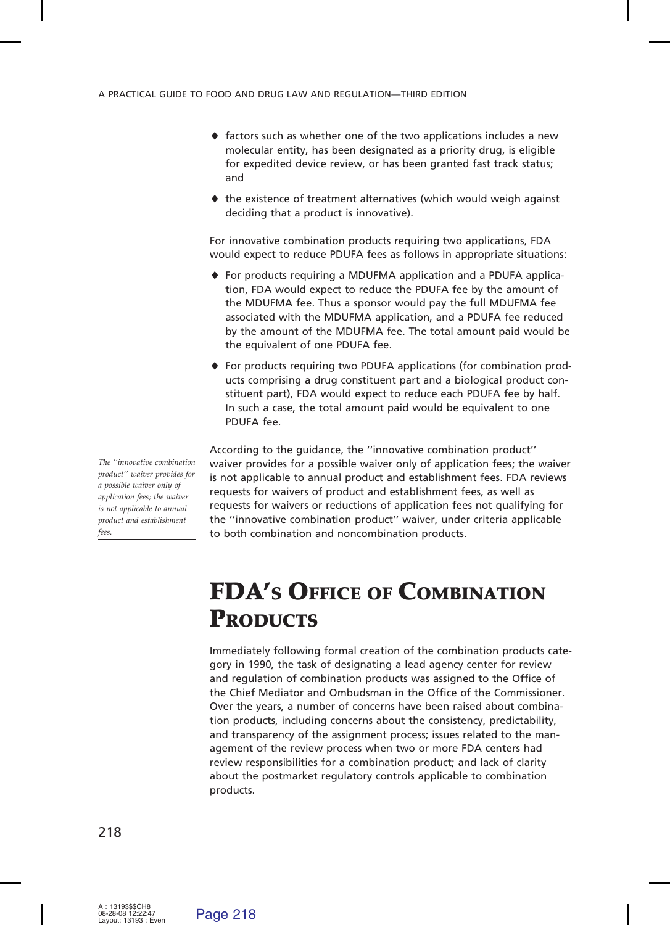- $\blacklozenge$  factors such as whether one of the two applications includes a new molecular entity, has been designated as a priority drug, is eligible for expedited device review, or has been granted fast track status; and
- $\blacklozenge$  the existence of treatment alternatives (which would weigh against deciding that a product is innovative).

For innovative combination products requiring two applications, FDA would expect to reduce PDUFA fees as follows in appropriate situations:

- For products requiring a MDUFMA application and a PDUFA application, FDA would expect to reduce the PDUFA fee by the amount of the MDUFMA fee. Thus a sponsor would pay the full MDUFMA fee associated with the MDUFMA application, and a PDUFA fee reduced by the amount of the MDUFMA fee. The total amount paid would be the equivalent of one PDUFA fee.
- $\blacklozenge$  For products requiring two PDUFA applications (for combination products comprising a drug constituent part and a biological product constituent part), FDA would expect to reduce each PDUFA fee by half. In such a case, the total amount paid would be equivalent to one PDUFA fee.

According to the guidance, the ''innovative combination product'' waiver provides for a possible waiver only of application fees; the waiver is not applicable to annual product and establishment fees. FDA reviews requests for waivers of product and establishment fees, as well as requests for waivers or reductions of application fees not qualifying for the ''innovative combination product'' waiver, under criteria applicable to both combination and noncombination products.

## **FDA'S OFFICE OF COMBINATION PRODUCTS**

Immediately following formal creation of the combination products category in 1990, the task of designating a lead agency center for review and regulation of combination products was assigned to the Office of the Chief Mediator and Ombudsman in the Office of the Commissioner. Over the years, a number of concerns have been raised about combination products, including concerns about the consistency, predictability, and transparency of the assignment process; issues related to the management of the review process when two or more FDA centers had review responsibilities for a combination product; and lack of clarity about the postmarket regulatory controls applicable to combination products.

*The ''innovative combination product'' waiver provides for a possible waiver only of application fees; the waiver is not applicable to annual product and establishment fees.*